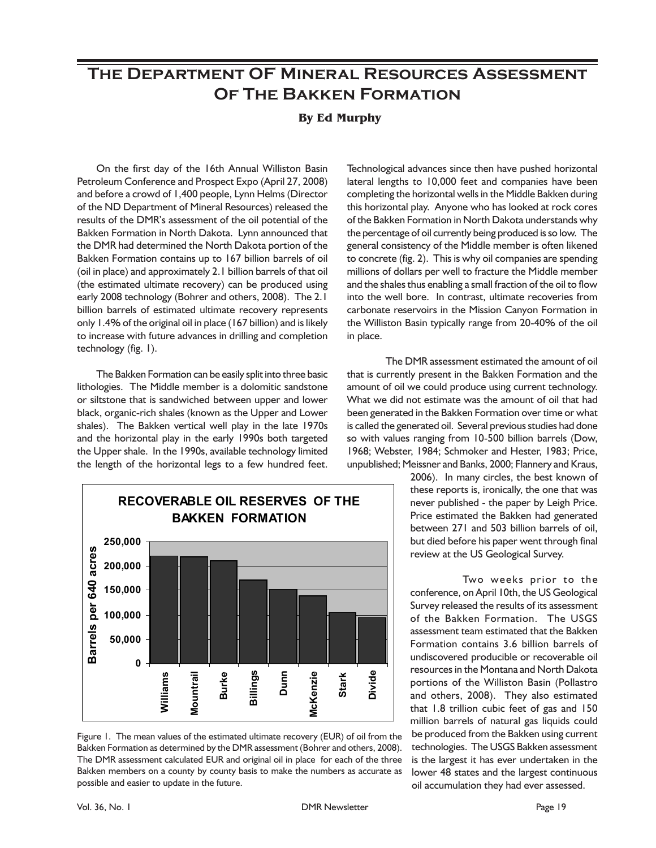## **The Department OF Mineral Resources Assessment Of The Bakken Formation**

## **By Ed Murphy**

On the first day of the 16th Annual Williston Basin Petroleum Conference and Prospect Expo (April 27, 2008) and before a crowd of 1,400 people, Lynn Helms (Director of the ND Department of Mineral Resources) released the results of the DMR's assessment of the oil potential of the Bakken Formation in North Dakota. Lynn announced that the DMR had determined the North Dakota portion of the Bakken Formation contains up to 167 billion barrels of oil (oil in place) and approximately 2.1 billion barrels of that oil (the estimated ultimate recovery) can be produced using early 2008 technology (Bohrer and others, 2008). The 2.1 billion barrels of estimated ultimate recovery represents only 1.4% of the original oil in place (167 billion) and is likely to increase with future advances in drilling and completion technology (fig. 1).

The Bakken Formation can be easily split into three basic lithologies. The Middle member is a dolomitic sandstone or siltstone that is sandwiched between upper and lower black, organic-rich shales (known as the Upper and Lower shales). The Bakken vertical well play in the late 1970s and the horizontal play in the early 1990s both targeted the Upper shale. In the 1990s, available technology limited the length of the horizontal legs to a few hundred feet.



Figure 1. The mean values of the estimated ultimate recovery (EUR) of oil from the Bakken Formation as determined by the DMR assessment (Bohrer and others, 2008). The DMR assessment calculated EUR and original oil in place for each of the three Bakken members on a county by county basis to make the numbers as accurate as possible and easier to update in the future.

Technological advances since then have pushed horizontal lateral lengths to 10,000 feet and companies have been completing the horizontal wells in the Middle Bakken during this horizontal play. Anyone who has looked at rock cores of the Bakken Formation in North Dakota understands why the percentage of oil currently being produced is so low. The general consistency of the Middle member is often likened to concrete (fig. 2). This is why oil companies are spending millions of dollars per well to fracture the Middle member and the shales thus enabling a small fraction of the oil to flow into the well bore. In contrast, ultimate recoveries from carbonate reservoirs in the Mission Canyon Formation in the Williston Basin typically range from 20-40% of the oil in place.

The DMR assessment estimated the amount of oil that is currently present in the Bakken Formation and the amount of oil we could produce using current technology. What we did not estimate was the amount of oil that had been generated in the Bakken Formation over time or what is called the generated oil. Several previous studies had done so with values ranging from 10-500 billion barrels (Dow, 1968; Webster, 1984; Schmoker and Hester, 1983; Price, unpublished; Meissner and Banks, 2000; Flannery and Kraus,

> 2006). In many circles, the best known of these reports is, ironically, the one that was never published - the paper by Leigh Price. Price estimated the Bakken had generated between 271 and 503 billion barrels of oil, but died before his paper went through final review at the US Geological Survey.

> Two weeks prior to the conference, on April 10th, the US Geological Survey released the results of its assessment of the Bakken Formation. The USGS assessment team estimated that the Bakken Formation contains 3.6 billion barrels of undiscovered producible or recoverable oil resources in the Montana and North Dakota portions of the Williston Basin (Pollastro and others, 2008). They also estimated that 1.8 trillion cubic feet of gas and 150 million barrels of natural gas liquids could be produced from the Bakken using current technologies. The USGS Bakken assessment is the largest it has ever undertaken in the lower 48 states and the largest continuous oil accumulation they had ever assessed.